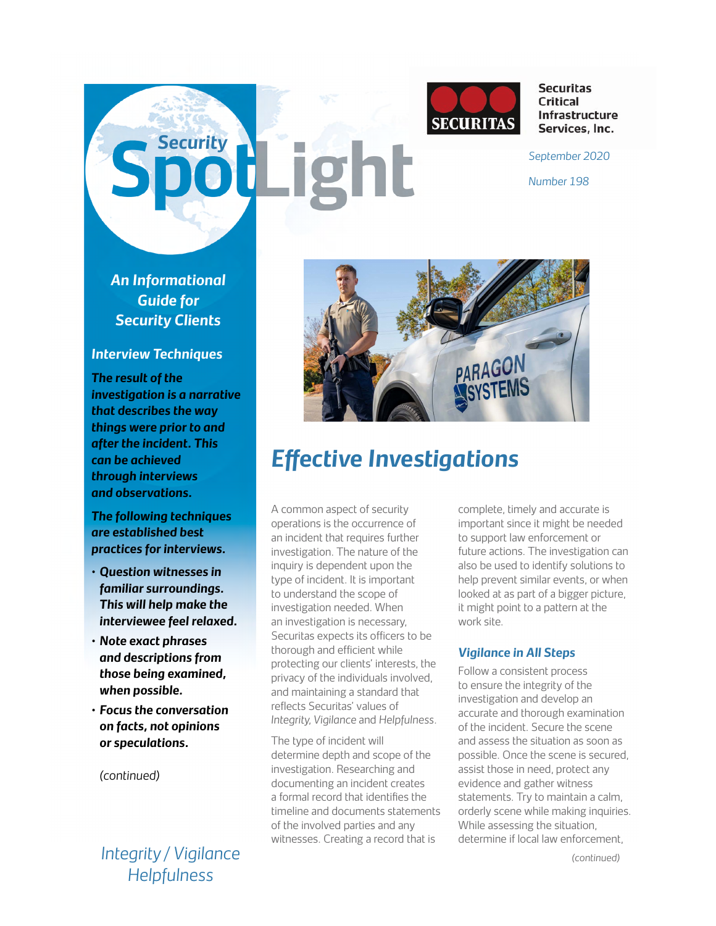

**Securitas Critical** Infrastructure Services, Inc.

**Security** *Security <b>Property Property <i>September 2020* 

*Number 198*

*An Informational Guide for Security Clients*

## *Interview Techniques*

*The result of the investigation is a narrative that describes the way things were prior to and after the incident. This can be achieved through interviews and observations.* 

*The following techniques are established best practices for interviews.* 

- *• Question witnesses in familiar surroundings. This will help make the interviewee feel relaxed.*
- *• Note exact phrases and descriptions from those being examined, when possible.*
- *• Focus the conversation on facts, not opinions or speculations.*

*(continued)*

*Integrity / Vigilance Helpfulness*



# *Effective Investigations*

A common aspect of security operations is the occurrence of an incident that requires further investigation. The nature of the inquiry is dependent upon the type of incident. It is important to understand the scope of investigation needed. When an investigation is necessary, Securitas expects its officers to be thorough and efficient while protecting our clients' interests, the privacy of the individuals involved, and maintaining a standard that reflects Securitas' values of *Integrity, Vigilance* and *Helpfulness.*

The type of incident will determine depth and scope of the investigation. Researching and documenting an incident creates a formal record that identifies the timeline and documents statements of the involved parties and any witnesses. Creating a record that is

complete, timely and accurate is important since it might be needed to support law enforcement or future actions. The investigation can also be used to identify solutions to help prevent similar events, or when looked at as part of a bigger picture, it might point to a pattern at the work site.

# *Vigilance in All Steps*

Follow a consistent process to ensure the integrity of the investigation and develop an accurate and thorough examination of the incident. Secure the scene and assess the situation as soon as possible. Once the scene is secured, assist those in need, protect any evidence and gather witness statements. Try to maintain a calm, orderly scene while making inquiries. While assessing the situation, determine if local law enforcement,

*(continued)*